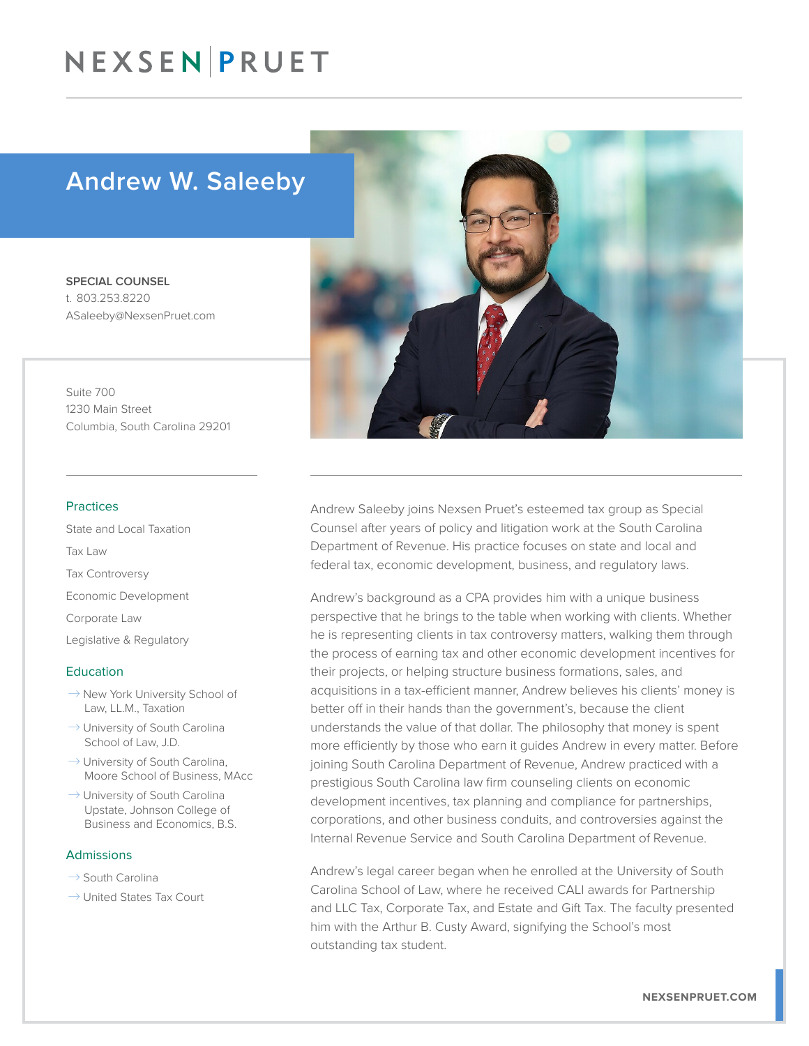# NEXSEN PRUET

# Andrew W. Saleeby

SPECIAL COUNSEL t. 803.253.8220 ASaleeby@NexsenPruet.com

Suite 700 1230 Main Street Columbia, South Carolina 29201

#### Practices

State and Local Taxation Tax Law Tax Controversy Economic Development Corporate Law Legislative & Regulatory

#### Education

- $\rightarrow$  New York University School of Law, LL.M., Taxation
- $\rightarrow$  University of South Carolina School of Law, J.D.
- $\rightarrow$  University of South Carolina, Moore School of Business, MAcc
- $\rightarrow$  University of South Carolina Upstate, Johnson College of Business and Economics, B.S.

#### Admissions

- $\rightarrow$  South Carolina
- $\rightarrow$  United States Tax Court



Andrew Saleeby joins Nexsen Pruet's esteemed tax group as Special Counsel after years of policy and litigation work at the South Carolina Department of Revenue. His practice focuses on state and local and federal tax, economic development, business, and regulatory laws.

Andrew's background as a CPA provides him with a unique business perspective that he brings to the table when working with clients. Whether he is representing clients in tax controversy matters, walking them through the process of earning tax and other economic development incentives for their projects, or helping structure business formations, sales, and acquisitions in a tax-efficient manner, Andrew believes his clients' money is better off in their hands than the government's, because the client understands the value of that dollar. The philosophy that money is spent more efficiently by those who earn it guides Andrew in every matter. Before joining South Carolina Department of Revenue, Andrew practiced with a prestigious South Carolina law firm counseling clients on economic development incentives, tax planning and compliance for partnerships, corporations, and other business conduits, and controversies against the Internal Revenue Service and South Carolina Department of Revenue.

Andrew's legal career began when he enrolled at the University of South Carolina School of Law, where he received CALI awards for Partnership and LLC Tax, Corporate Tax, and Estate and Gift Tax. The faculty presented him with the Arthur B. Custy Award, signifying the School's most outstanding tax student.